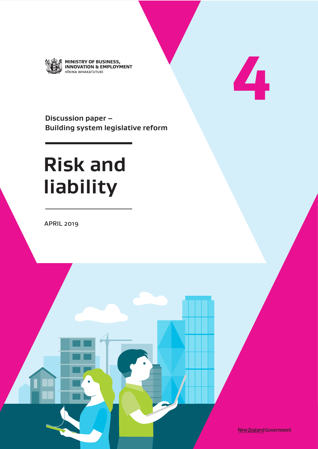

MINISTRY OF BUSINESS,<br>INNOVATION & EMPLOYMENT HĪKINA WHAKATUTUKI

**4**

**Discussion paper – Building system legislative reform**

# **Risk and liability**

APRIL 2019

New Zealand Government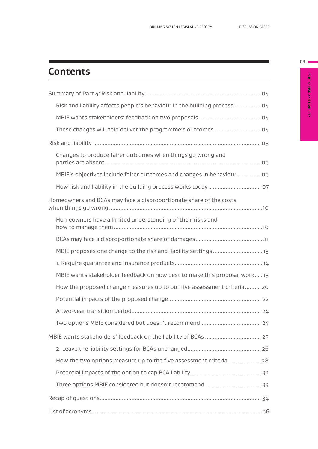# **Contents**

| Risk and liability affects people's behaviour in the building process 04 |
|--------------------------------------------------------------------------|
|                                                                          |
| These changes will help deliver the programme's outcomes  04             |
|                                                                          |
| Changes to produce fairer outcomes when things go wrong and              |
| MBIE's objectives include fairer outcomes and changes in behaviour 05    |
|                                                                          |
| Homeowners and BCAs may face a disproportionate share of the costs       |
| Homeowners have a limited understanding of their risks and               |
|                                                                          |
|                                                                          |
|                                                                          |
| MBIE wants stakeholder feedback on how best to make this proposal work15 |
| How the proposed change measures up to our five assessment criteria 20   |
|                                                                          |
|                                                                          |
|                                                                          |
| MBIE wants stakeholders' feedback on the liability of BCAs  25           |
|                                                                          |
| How the two options measure up to the five assessment criteria  28       |
|                                                                          |
|                                                                          |
|                                                                          |
|                                                                          |

PART 4: RISK AND LIABILITY **PART 4: RISK AND LIABILITY**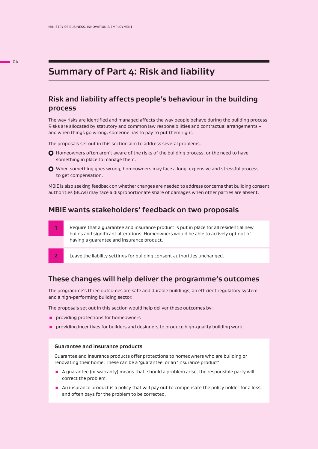## **Summary of Part 4: Risk and liability**

#### **Risk and liability affects people's behaviour in the building process**

The way risks are identified and managed affects the way people behave during the building process. Risks are allocated by statutory and common law responsibilities and contractual arrangements – and when things go wrong, someone has to pay to put them right.

The proposals set out in this section aim to address several problems.

- $\bullet$  Homeowners often aren't aware of the risks of the building process, or the need to have something in place to manage them.
- When something goes wrong, homeowners may face a long, expensive and stressful process to get compensation.

MBIE is also seeking feedback on whether changes are needed to address concerns that building consent authorities (BCAs) may face a disproportionate share of damages when other parties are absent.

#### **MBIE wants stakeholders' feedback on two proposals**

|                | Require that a quarantee and insurance product is put in place for all residential new<br>builds and significant alterations. Homeowners would be able to actively opt out of<br>having a quarantee and insurance product. |
|----------------|----------------------------------------------------------------------------------------------------------------------------------------------------------------------------------------------------------------------------|
| $\overline{2}$ | Leave the liability settings for building consent authorities unchanged.                                                                                                                                                   |

#### **These changes will help deliver the programme's outcomes**

The programme's three outcomes are safe and durable buildings, an efficient regulatory system and a high-performing building sector.

The proposals set out in this section would help deliver these outcomes by:

- **Part providing protections for homeowners**
- **p** providing incentives for builders and designers to produce high-quality building work.

#### **Guarantee and insurance products**

Guarantee and insurance products offer protections to homeowners who are building or renovating their home. These can be a 'guarantee' or an 'insurance product'.

- A guarantee (or warranty) means that, should a problem arise, the responsible party will correct the problem.
- **An insurance product is a policy that will pay out to compensate the policy holder for a loss,** and often pays for the problem to be corrected.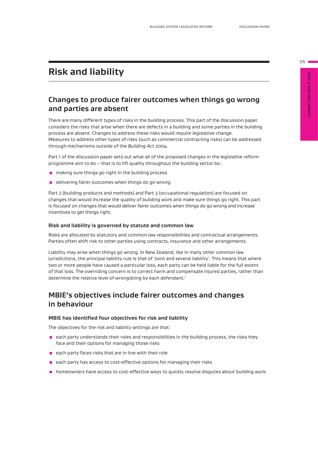# **Risk and liability**

#### **Changes to produce fairer outcomes when things go wrong and parties are absent**

There are many different types of risks in the building process. This part of the discussion paper considers the risks that arise when there are defects in a building and some parties in the building process are absent. Changes to address these risks would require legislative change. Measures to address other types of risks (such as commercial contracting risks) can be addressed through mechanisms outside of the *Building Act 2004.* 

Part 1 of the discussion paper sets out what all of the proposed changes in the legislative reform programme aim to do – that is to lift quality throughout the building sector by:

- making sure things go right in the building process
- **E** delivering fairer outcomes when things do go wrong.

Part 2 (building products and methods) and Part 3 (occupational regulation) are focused on changes that would increase the quality of building work and make sure things go right. This part is focused on changes that would deliver fairer outcomes when things do go wrong and increase incentives to get things right.

#### **Risk and liability is governed by statute and common law**

Risks are allocated by statutory and common law responsibilities and contractual arrangements. Parties often shift risk to other parties using contracts, insurance and other arrangements.

Liability may arise when things go wrong. In New Zealand, like in many other common law jurisdictions, the principal liability rule is that of 'joint and several liability'. This means that where two or more people have caused a particular loss, each party can be held liable for the full extent of that loss. The overriding concern is to correct harm and compensate injured parties, rather than determine the relative level of wrongdoing by each defendant.<sup>1</sup>

#### **MBIE's objectives include fairer outcomes and changes in behaviour**

#### **MBIE has identified four objectives for risk and liability**

The objectives for the risk and liability settings are that:

- $\blacksquare$  each party understands their roles and responsibilities in the building process, the risks they face and their options for managing those risks
- each party faces risks that are in line with their role
- $\blacksquare$  each party has access to cost-effective options for managing their risks
- **n** homeowners have access to cost-effective ways to quickly resolve disputes about building work.

 $05 \blacksquare$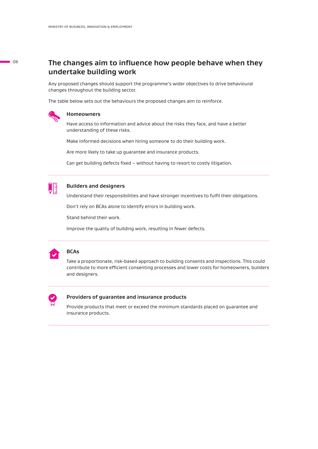#### **The changes aim to influence how people behave when they undertake building work**

Any proposed changes should support the programme's wider objectives to drive behavioural changes throughout the building sector.

The table below sets out the behaviours the proposed changes aim to reinforce.



#### **Homeowners**

Have access to information and advice about the risks they face, and have a better understanding of these risks.

Make informed decisions when hiring someone to do their building work.

Are more likely to take up guarantee and insurance products.

Can get building defects fixed – without having to resort to costly litigation.



#### **Builders and designers**

Understand their responsibilities and have stronger incentives to fulfil their obligations.

Don't rely on BCAs alone to identify errors in building work.

Stand behind their work.

Improve the quality of building work, resulting in fewer defects.



#### **BCAs**

Take a proportionate, risk-based approach to building consents and inspections. This could contribute to more efficient consenting processes and lower costs for homeowners, builders and designers.



#### **Providers of guarantee and insurance products**

Provide products that meet or exceed the minimum standards placed on guarantee and insurance products.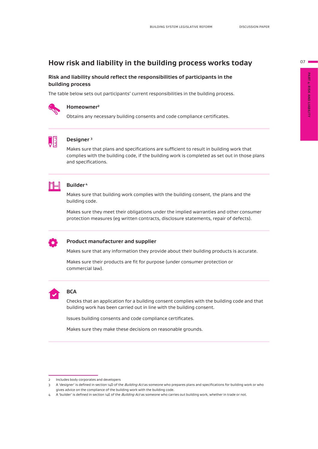#### **How risk and liability in the building process works today**

#### **Risk and liability should reflect the responsibilities of participants in the building process**

The table below sets out participants' current responsibilities in the building process.



#### **Homeowner²**

Obtains any necessary building consents and code compliance certificates.



#### **Designer 3**

Makes sure that plans and specifications are sufficient to result in building work that complies with the building code, if the building work is completed as set out in those plans and specifications.



#### **Builder 4**

Makes sure that building work complies with the building consent, the plans and the building code.

Makes sure they meet their obligations under the implied warranties and other consumer protection measures (eg written contracts, disclosure statements, repair of defects).



#### **Product manufacturer and supplier**

Makes sure that any information they provide about their building products is accurate.

Makes sure their products are fit for purpose (under consumer protection or commercial law).



#### **BCA**

Checks that an application for a building consent complies with the building code and that building work has been carried out in line with the building consent.

Issues building consents and code compliance certificates.

Makes sure they make these decisions on reasonable grounds.

 $07$ 

<sup>2</sup> Includes body corporates and developers

<sup>3</sup> A 'designer' is defined in section 14D of the *Building Act* as someone who prepares plans and specifications for building work or who gives advice on the compliance of the building work with the building code.

<sup>4</sup> A 'builder' is defined in section 14E of the *Building Act* as someone who carries out building work, whether in trade or not.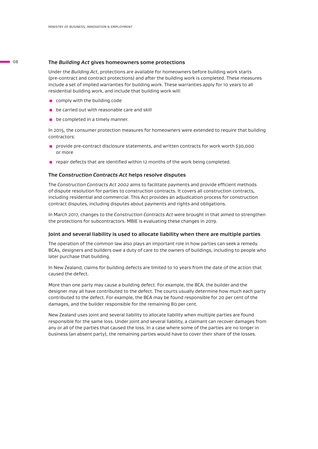#### **The** *Building Act* **gives homeowners some protections**

Under the *Building Act*, protections are available for homeowners before building work starts (pre-contract and contract protections) and after the building work is completed. These measures include a set of implied warranties for building work. These warranties apply for 10 years to all residential building work, and include that building work will:

- $\Box$  comply with the building code
- $\blacksquare$  be carried out with reasonable care and skill
- $\blacksquare$  be completed in a timely manner.

In 2015, the consumer protection measures for homeowners were extended to require that building contractors:

- **provide pre-contract disclosure statements, and written contracts for work worth \$30,000** or more
- $\blacksquare$  repair defects that are identified within 12 months of the work being completed.

#### **The** *Construction Contracts Act* **helps resolve disputes**

The *Construction Contracts Act 2002* aims to facilitate payments and provide efficient methods of dispute resolution for parties to construction contracts. It covers all construction contracts, including residential and commercial. This Act provides an adjudication process for construction contract disputes, including disputes about payments and rights and obligations.

In March 2017, changes to the *Construction Contracts Act* were brought in that aimed to strengthen the protections for subcontractors. MBIE is evaluating these changes in 2019.

#### **Joint and several liability is used to allocate liability when there are multiple parties**

The operation of the common law also plays an important role in how parties can seek a remedy. BCAs, designers and builders owe a duty of care to the owners of buildings, including to people who later purchase that building.

In New Zealand, claims for building defects are limited to 10 years from the date of the action that caused the defect.

More than one party may cause a building defect. For example, the BCA, the builder and the designer may all have contributed to the defect. The courts usually determine how much each party contributed to the defect. For example, the BCA may be found responsible for 20 per cent of the damages, and the builder responsible for the remaining 80 per cent.

New Zealand uses joint and several liability to allocate liability when multiple parties are found responsible for the same loss. Under joint and several liability, a claimant can recover damages from any or all of the parties that caused the loss. In a case where some of the parties are no longer in business (an absent party), the remaining parties would have to cover their share of the losses.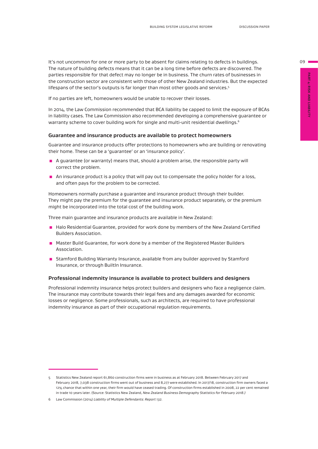It's not uncommon for one or more party to be absent for claims relating to defects in buildings. The nature of building defects means that it can be a long time before defects are discovered. The parties responsible for that defect may no longer be in business. The churn rates of businesses in the construction sector are consistent with those of other New Zealand industries. But the expected lifespans of the sector's outputs is far longer than most other goods and services.<sup>5</sup>

If no parties are left, homeowners would be unable to recover their losses.

In 2014, the Law Commission recommended that BCA liability be capped to limit the exposure of BCAs in liability cases. The Law Commission also recommended developing a comprehensive guarantee or warranty scheme to cover building work for single and multi-unit residential dwellings.<sup>6</sup>

#### **Guarantee and insurance products are available to protect homeowners**

Guarantee and insurance products offer protections to homeowners who are building or renovating their home. These can be a 'guarantee' or an 'insurance policy'.

- A guarantee (or warranty) means that, should a problem arise, the responsible party will correct the problem.
- **An** insurance product is a policy that will pay out to compensate the policy holder for a loss, and often pays for the problem to be corrected.

Homeowners normally purchase a guarantee and insurance product through their builder. They might pay the premium for the guarantee and insurance product separately, or the premium might be incorporated into the total cost of the building work.

Three main guarantee and insurance products are available in New Zealand:

- **E** Halo Residential Guarantee, provided for work done by members of the New Zealand Certified Builders Association.
- Master Build Guarantee, for work done by a member of the Registered Master Builders Association.
- **E** Stamford Building Warranty Insurance, available from any builder approved by Stamford Insurance, or through BuiltIn Insurance.

#### **Professional indemnity insurance is available to protect builders and designers**

Professional indemnity insurance helps protect builders and designers who face a negligence claim. The insurance may contribute towards their legal fees and any damages awarded for economic losses or negligence. Some professionals, such as architects, are required to have professional indemnity insurance as part of their occupational regulation requirements.

 $09 =$ 

<sup>5</sup> Statistics New Zealand report 61,860 construction firms were in business as at February 2018. Between February 2017 and February 2018, 7,038 construction firms went out of business and 8,277 were established. In 2017/18, construction firm owners faced a 12% chance that within one year, their firm would have ceased trading. Of construction firms established in 2008, 22 per cent remained in trade 10 years later. (Source: Statistics New Zealand, *New Zealand Business Demography Statistics for February 2018.)*

<sup>6</sup> Law Commission (2014) *Liability of Multiple Defendants: Report 132.*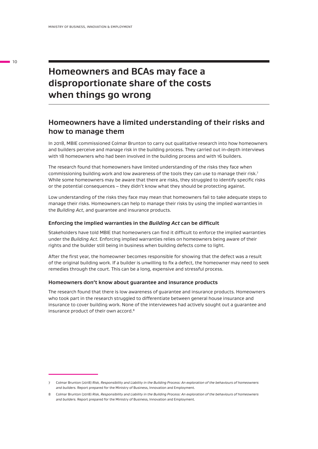# **Homeowners and BCAs may face a disproportionate share of the costs when things go wrong**

#### **Homeowners have a limited understanding of their risks and how to manage them**

In 2018, MBIE commissioned Colmar Brunton to carry out qualitative research into how homeowners and builders perceive and manage risk in the building process. They carried out in-depth interviews with 18 homeowners who had been involved in the building process and with 16 builders.

The research found that homeowners have limited understanding of the risks they face when commissioning building work and low awareness of the tools they can use to manage their risk.7 While some homeowners may be aware that there are risks, they struggled to identify specific risks or the potential consequences – they didn't know what they should be protecting against.

Low understanding of the risks they face may mean that homeowners fail to take adequate steps to manage their risks. Homeowners can help to manage their risks by using the implied warranties in the *Building Act*, and guarantee and insurance products.

#### **Enforcing the implied warranties in the** *Building Act* **can be difficult**

Stakeholders have told MBIE that homeowners can find it difficult to enforce the implied warranties under the *Building Act*. Enforcing implied warranties relies on homeowners being aware of their rights and the builder still being in business when building defects come to light.

After the first year, the homeowner becomes responsible for showing that the defect was a result of the original building work. If a builder is unwilling to fix a defect, the homeowner may need to seek remedies through the court. This can be a long, expensive and stressful process.

#### **Homeowners don't know about guarantee and insurance products**

The research found that there is low awareness of guarantee and insurance products. Homeowners who took part in the research struggled to differentiate between general house insurance and insurance to cover building work. None of the interviewees had actively sought out a guarantee and insurance product of their own accord.8

<sup>7</sup> Colmar Brunton (2018) *Risk, Responsibility and Liability in the Building Process: An exploration of the behaviours of homeowners and builders.* Report prepared for the Ministry of Business, Innovation and Employment.

<sup>8</sup> Colmar Brunton (2018) *Risk, Responsibility and Liability in the Building Process: An exploration of the behaviours of homeowners and builders.* Report prepared for the Ministry of Business, Innovation and Employment.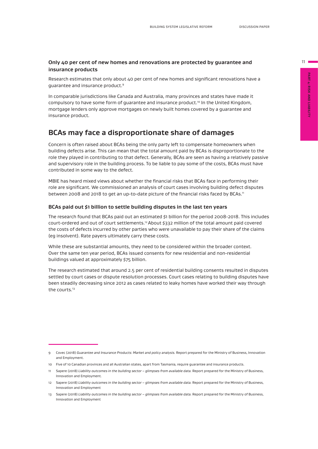#### **Only 40 per cent of new homes and renovations are protected by guarantee and insurance products**

Research estimates that only about 40 per cent of new homes and significant renovations have a guarantee and insurance product.9

In comparable jurisdictions like Canada and Australia, many provinces and states have made it compulsory to have some form of quarantee and insurance product.<sup>10</sup> In the United Kingdom, mortgage lenders only approve mortgages on newly built homes covered by a guarantee and insurance product.

#### **BCAs may face a disproportionate share of damages**

Concern is often raised about BCAs being the only party left to compensate homeowners when building defects arise. This can mean that the total amount paid by BCAs is disproportionate to the role they played in contributing to that defect. Generally, BCAs are seen as having a relatively passive and supervisory role in the building process. To be liable to pay some of the costs, BCAs must have contributed in some way to the defect.

MBIE has heard mixed views about whether the financial risks that BCAs face in performing their role are significant. We commissioned an analysis of court cases involving building defect disputes between 2008 and 2018 to get an up-to-date picture of the financial risks faced by BCAs.<sup>11</sup>

#### **BCAs paid out \$1 billion to settle building disputes in the last ten years**

The research found that BCAs paid out an estimated \$1 billion for the period 2008-2018. This includes court-ordered and out of court settlements.12About \$332 million of the total amount paid covered the costs of defects incurred by other parties who were unavailable to pay their share of the claims (eg insolvent). Rate payers ultimately carry these costs.

While these are substantial amounts, they need to be considered within the broader context. Over the same ten year period, BCAs issued consents for new residential and non-residential buildings valued at approximately \$75 billion.

The research estimated that around 2.5 per cent of residential building consents resulted in disputes settled by court cases or dispute resolution processes. Court cases relating to building disputes have been steadily decreasing since 2012 as cases related to leaky homes have worked their way through the courts.<sup>13</sup>

**PART 4: RISK AND LIABILITY**

<sup>9</sup> Covec (2018) *Guarantee and Insurance Products: Market and policy analysis.* Report prepared for the Ministry of Business, Innovation and Employment.

<sup>10</sup> Five of 10 Canadian provinces and all Australian states, apart from Tasmania, require guarantee and insurance products.

<sup>11</sup> Sapere (2018) *Liability outcomes in the building sector – glimpses from available data.* Report prepared for the Ministry of Business, Innovation and Employment.

<sup>12</sup> Sapere (2018) *Liability outcomes in the building sector – glimpses from available data.* Report prepared for the Ministry of Business, Innovation and Employment

<sup>13</sup> Sapere (2018) *Liability outcomes in the building sector – glimpses from available data.* Report prepared for the Ministry of Business, Innovation and Employment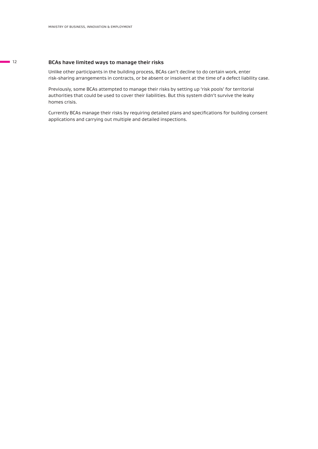#### **BCAs have limited ways to manage their risks**

Unlike other participants in the building process, BCAs can't decline to do certain work, enter risk-sharing arrangements in contracts, or be absent or insolvent at the time of a defect liability case.

Previously, some BCAs attempted to manage their risks by setting up 'risk pools' for territorial authorities that could be used to cover their liabilities. But this system didn't survive the leaky homes crisis.

Currently BCAs manage their risks by requiring detailed plans and specifications for building consent applications and carrying out multiple and detailed inspections.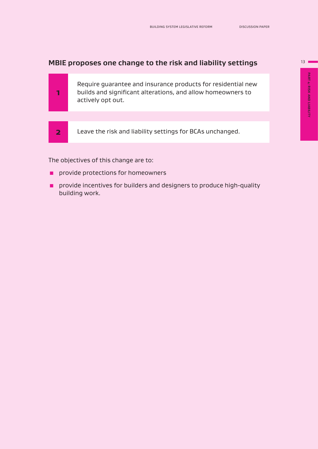### **MBIE proposes one change to the risk and liability settings**

| Require guarantee and insurance products for residential new<br>builds and significant alterations, and allow homeowners to<br>actively opt out. |
|--------------------------------------------------------------------------------------------------------------------------------------------------|
|                                                                                                                                                  |
| Leave the risk and liability settings for BCAs unchanged.                                                                                        |
|                                                                                                                                                  |

The objectives of this change are to:

- **Part provide protections for homeowners**
- **P** provide incentives for builders and designers to produce high-quality building work.

 $13$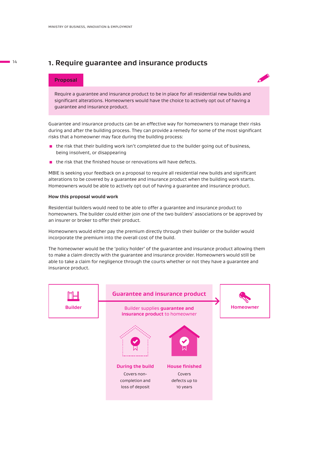#### **1. Require guarantee and insurance products**

#### **Proposal**



Require a guarantee and insurance product to be in place for all residential new builds and significant alterations. Homeowners would have the choice to actively opt out of having a guarantee and insurance product.

Guarantee and insurance products can be an effective way for homeowners to manage their risks during and after the building process. They can provide a remedy for some of the most significant risks that a homeowner may face during the building process:

- **n** the risk that their building work isn't completed due to the builder going out of business, being insolvent, or disappearing
- $\blacksquare$  the risk that the finished house or renovations will have defects.

MBIE is seeking your feedback on a proposal to require all residential new builds and significant alterations to be covered by a guarantee and insurance product when the building work starts. Homeowners would be able to actively opt out of having a guarantee and insurance product.

#### **How this proposal would work**

Residential builders would need to be able to offer a guarantee and insurance product to homeowners. The builder could either join one of the two builders' associations or be approved by an insurer or broker to offer their product.

Homeowners would either pay the premium directly through their builder or the builder would incorporate the premium into the overall cost of the build.

The homeowner would be the 'policy holder' of the guarantee and insurance product allowing them to make a claim directly with the guarantee and insurance provider. Homeowners would still be able to take a claim for negligence through the courts whether or not they have a guarantee and insurance product.

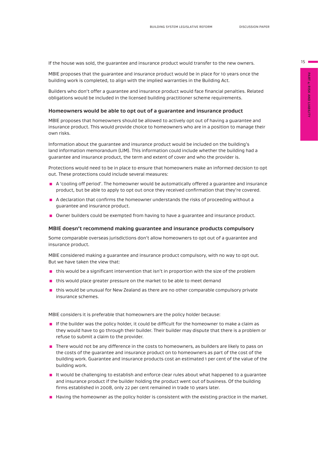$15 \equiv$ 

If the house was sold, the guarantee and insurance product would transfer to the new owners.

MBIE proposes that the guarantee and insurance product would be in place for 10 years once the building work is completed, to align with the implied warranties in the Building Act.

Builders who don't offer a guarantee and insurance product would face financial penalties. Related obligations would be included in the licensed building practitioner scheme requirements.

#### **Homeowners would be able to opt out of a guarantee and insurance product**

MBIE proposes that homeowners should be allowed to actively opt out of having a guarantee and insurance product. This would provide choice to homeowners who are in a position to manage their own risks.

Information about the guarantee and insurance product would be included on the building's land information memorandum (LIM). This information could include whether the building had a guarantee and insurance product, the term and extent of cover and who the provider is.

Protections would need to be in place to ensure that homeowners make an informed decision to opt out. These protections could include several measures:

- A 'cooling off period'. The homeowner would be automatically offered a guarantee and insurance product, but be able to apply to opt out once they received confirmation that they're covered.
- A declaration that confirms the homeowner understands the risks of proceeding without a guarantee and insurance product.
- Owner builders could be exempted from having to have a quarantee and insurance product.

#### **MBIE doesn't recommend making guarantee and insurance products compulsory**

Some comparable overseas jurisdictions don't allow homeowners to opt out of a guarantee and insurance product.

MBIE considered making a guarantee and insurance product compulsory, with no way to opt out. But we have taken the view that:

- **In** this would be a significant intervention that isn't in proportion with the size of the problem
- $\blacksquare$  this would place greater pressure on the market to be able to meet demand
- **In** this would be unusual for New Zealand as there are no other comparable compulsory private insurance schemes.

MBIE considers it is preferable that homeowners are the policy holder because:

- $\blacksquare$  If the builder was the policy holder, it could be difficult for the homeowner to make a claim as they would have to go through their builder. Their builder may dispute that there is a problem or refuse to submit a claim to the provider.
- **There would not be any difference in the costs to homeowners, as builders are likely to pass on** the costs of the guarantee and insurance product on to homeowners as part of the cost of the building work. Guarantee and insurance products cost an estimated 1 per cent of the value of the building work.
- **I** It would be challenging to establish and enforce clear rules about what happened to a guarantee and insurance product if the builder holding the product went out of business. Of the building firms established in 2008, only 22 per cent remained in trade 10 years later.
- **E** Having the homeowner as the policy holder is consistent with the existing practice in the market.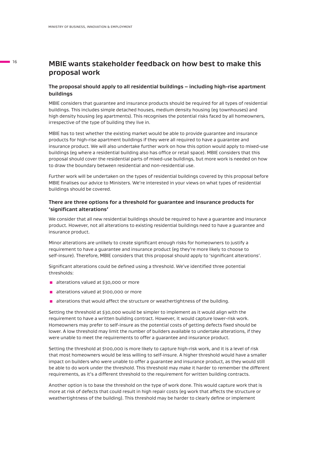#### **MBIE wants stakeholder feedback on how best to make this proposal work**

#### **The proposal should apply to all residential buildings – including high-rise apartment buildings**

MBIE considers that guarantee and insurance products should be required for all types of residential buildings. This includes simple detached houses, medium density housing (eg townhouses) and high density housing (eg apartments). This recognises the potential risks faced by all homeowners, irrespective of the type of building they live in.

MBIE has to test whether the existing market would be able to provide guarantee and insurance products for high-rise apartment buildings if they were all required to have a guarantee and insurance product. We will also undertake further work on how this option would apply to mixed-use buildings (eg where a residential building also has office or retail space). MBIE considers that this proposal should cover the residential parts of mixed-use buildings, but more work is needed on how to draw the boundary between residential and non-residential use.

Further work will be undertaken on the types of residential buildings covered by this proposal before MBIE finalises our advice to Ministers. We're interested in your views on what types of residential buildings should be covered.

#### **There are three options for a threshold for guarantee and insurance products for 'significant alterations'**

We consider that all new residential buildings should be required to have a guarantee and insurance product. However, not all alterations to existing residential buildings need to have a guarantee and insurance product.

Minor alterations are unlikely to create significant enough risks for homeowners to justify a requirement to have a guarantee and insurance product (eg they're more likely to choose to self-insure). Therefore, MBIE considers that this proposal should apply to 'significant alterations'.

Significant alterations could be defined using a threshold. We've identified three potential thresholds:

- alterations valued at \$30,000 or more
- alterations valued at \$100,000 or more
- **a** alterations that would affect the structure or weathertightness of the building.

Setting the threshold at \$30,000 would be simpler to implement as it would align with the requirement to have a written building contract. However, it would capture lower-risk work. Homeowners may prefer to self-insure as the potential costs of getting defects fixed should be lower. A low threshold may limit the number of builders available to undertake alterations, if they were unable to meet the requirements to offer a guarantee and insurance product.

Setting the threshold at \$100,000 is more likely to capture high-risk work, and it is a level of risk that most homeowners would be less willing to self-insure. A higher threshold would have a smaller impact on builders who were unable to offer a guarantee and insurance product, as they would still be able to do work under the threshold. This threshold may make it harder to remember the different requirements, as it's a different threshold to the requirement for written building contracts.

Another option is to base the threshold on the type of work done. This would capture work that is more at risk of defects that could result in high repair costs (eg work that affects the structure or weathertightness of the building). This threshold may be harder to clearly define or implement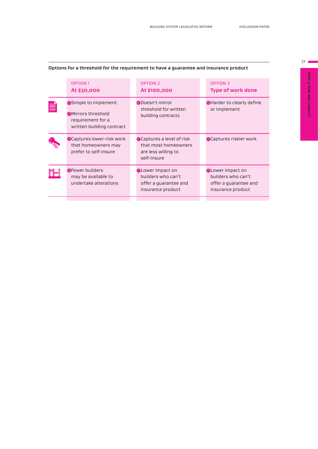|   | <b>OPTION 1</b><br>At \$30,000                                                                    | <b>OPTION 2</b><br>At \$100,000                                                             | <b>OPTION 3</b><br><b>Type of work done</b>                                                 |
|---|---------------------------------------------------------------------------------------------------|---------------------------------------------------------------------------------------------|---------------------------------------------------------------------------------------------|
| E | Simple to implement<br><b>Mirrors threshold</b><br>requirement for a<br>written building contract | <b>ODoesn't mirror</b><br>threshold for written<br>building contracts                       | <b>C</b> Harder to clearly define<br>or implement                                           |
|   | <b>C</b> Captures lower-risk work<br>that homeowners may<br>prefer to self-insure                 | Captures a level of risk<br>that most homeowners<br>are less willing to<br>self-insure      | <b>Captures riskier work</b>                                                                |
|   | <b>@Fewer builders</b><br>may be available to<br>undertake alterations                            | <b>Clower</b> impact on<br>builders who can't<br>offer a guarantee and<br>insurance product | <b>OLower impact on</b><br>builders who can't<br>offer a guarantee and<br>insurance product |
|   |                                                                                                   |                                                                                             |                                                                                             |

#### **Options for a threshold for the requirement to have a guarantee and insurance product**

 $17 \blacksquare$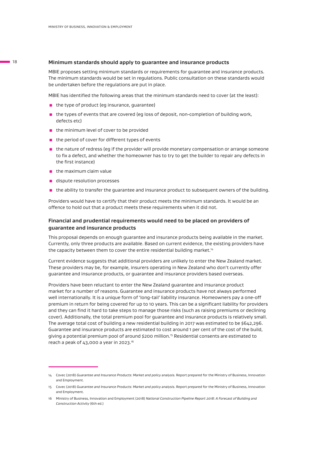#### **Minimum standards should apply to guarantee and insurance products**

MBIE proposes setting minimum standards or requirements for guarantee and insurance products. The minimum standards would be set in regulations. Public consultation on these standards would be undertaken before the regulations are put in place.

MBIE has identified the following areas that the minimum standards need to cover (at the least):

- the type of product (eg insurance, guarantee)
- $\blacksquare$  the types of events that are covered (eg loss of deposit, non-completion of building work, defects etc)
- $\blacksquare$  the minimum level of cover to be provided
- $\blacksquare$  the period of cover for different types of events
- **n** the nature of redress (eg if the provider will provide monetary compensation or arrange someone to fix a defect, and whether the homeowner has to try to get the builder to repair any defects in the first instance)
- $\blacksquare$  the maximum claim value
- **E** dispute resolution processes
- $\blacksquare$  the ability to transfer the quarantee and insurance product to subsequent owners of the building.

Providers would have to certify that their product meets the minimum standards. It would be an offence to hold out that a product meets these requirements when it did not.

#### **Financial and prudential requirements would need to be placed on providers of guarantee and insurance products**

This proposal depends on enough guarantee and insurance products being available in the market. Currently, only three products are available. Based on current evidence, the existing providers have the capacity between them to cover the entire residential building market.<sup>14</sup>

Current evidence suggests that additional providers are unlikely to enter the New Zealand market. These providers may be, for example, insurers operating in New Zealand who don't currently offer guarantee and insurance products, or guarantee and insurance providers based overseas.

Providers have been reluctant to enter the New Zealand guarantee and insurance product market for a number of reasons. Guarantee and insurance products have not always performed well internationally. It is a unique form of 'long-tail' liability insurance. Homeowners pay a one-off premium in return for being covered for up to 10 years. This can be a significant liability for providers and they can find it hard to take steps to manage those risks (such as raising premiums or declining cover). Additionally, the total premium pool for guarantee and insurance products is relatively small. The average total cost of building a new residential building in 2017 was estimated to be \$642,296. Guarantee and insurance products are estimated to cost around 1 per cent of the cost of the build, giving a potential premium pool of around \$200 million.15 Residential consents are estimated to reach a peak of 43,000 a year in 2023.16

<sup>14</sup> Covec (2018) *Guarantee and Insurance Products: Market and policy analysis.* Report prepared for the Ministry of Business, Innovation and Employment.

<sup>15</sup> Covec (2018) *Guarantee and Insurance Products: Market and policy analysis*. Report prepared for the Ministry of Business, Innovation and Employment.

<sup>16</sup> Ministry of Business, Innovation and Employment (2018) *National Construction Pipeline Report 2018: A Forecast of Building and Construction Activity* (6th ed.)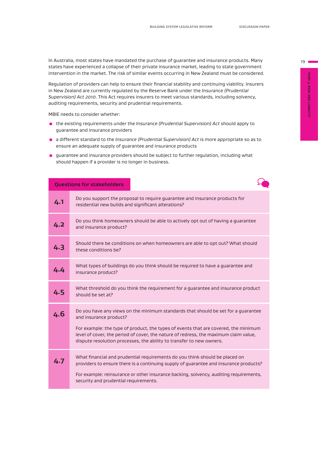In Australia, most states have mandated the purchase of guarantee and insurance products. Many states have experienced a collapse of their private insurance market, leading to state government intervention in the market. The risk of similar events occurring in New Zealand must be considered.

Regulation of providers can help to ensure their financial stability and continuing viability. Insurers in New Zealand are currently regulated by the Reserve Bank under the *Insurance (Prudential Supervision) Act 2010*. This Act requires insurers to meet various standards, including solvency, auditing requirements, security and prudential requirements.

MBIE needs to consider whether:

- the existing requirements under the *Insurance (Prudential Supervision) Act* should apply to guarantee and insurance providers
- **a** a different standard to the *Insurance (Prudential Supervision) Act* is more appropriate so as to ensure an adequate supply of guarantee and insurance products
- **n** guarantee and insurance providers should be subject to further regulation, including what should happen if a provider is no longer in business.

|     | <b>Questions for stakeholders</b>                                                                                                                                                                                                                                                                                                                                  |
|-----|--------------------------------------------------------------------------------------------------------------------------------------------------------------------------------------------------------------------------------------------------------------------------------------------------------------------------------------------------------------------|
| 4.1 | Do you support the proposal to require guarantee and insurance products for<br>residential new builds and significant alterations?                                                                                                                                                                                                                                 |
| 4.2 | Do you think homeowners should be able to actively opt out of having a guarantee<br>and insurance product?                                                                                                                                                                                                                                                         |
| 4.3 | Should there be conditions on when homeowners are able to opt out? What should<br>these conditions be?                                                                                                                                                                                                                                                             |
| 4.4 | What types of buildings do you think should be required to have a guarantee and<br>insurance product?                                                                                                                                                                                                                                                              |
| 4.5 | What threshold do you think the requirement for a guarantee and insurance product<br>should be set at?                                                                                                                                                                                                                                                             |
| 4.6 | Do you have any views on the minimum standards that should be set for a guarantee<br>and insurance product?<br>For example: the type of product, the types of events that are covered, the minimum<br>level of cover, the period of cover, the nature of redress, the maximum claim value,<br>dispute resolution processes, the ability to transfer to new owners. |
| 4.7 | What financial and prudential requirements do you think should be placed on<br>providers to ensure there is a continuing supply of guarantee and insurance products?<br>For example: reinsurance or other insurance backing, solvency, auditing requirements,<br>security and prudential requirements.                                                             |
|     |                                                                                                                                                                                                                                                                                                                                                                    |

PART 4: RISK AND LIABILITY **PART 4: RISK AND LIABILITY**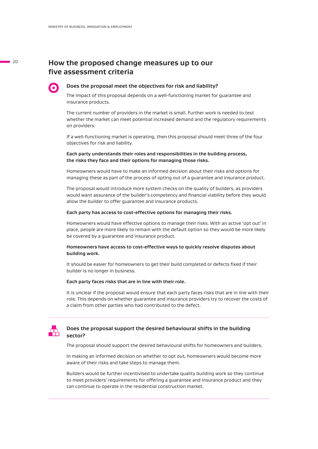#### **How the proposed change measures up to our five assessment criteria**

#### **Does the proposal meet the objectives for risk and liability?**

The impact of this proposal depends on a well-functioning market for guarantee and insurance products.

The current number of providers in the market is small. Further work is needed to test whether the market can meet potential increased demand and the regulatory requirements on providers.

If a well-functioning market is operating, then this proposal should meet three of the four objectives for risk and liability.

**Each party understands their roles and responsibilities in the building process, the risks they face and their options for managing those risks.**

Homeowners would have to make an informed decision about their risks and options for managing these as part of the process of opting out of a guarantee and insurance product.

The proposal would introduce more system checks on the quality of builders, as providers would want assurance of the builder's competency and financial viability before they would allow the builder to offer guarantee and insurance products.

#### **Each party has access to cost-effective options for managing their risks.**

Homeowners would have effective options to manage their risks. With an active 'opt out' in place, people are more likely to remain with the default option so they would be more likely be covered by a guarantee and insurance product.

#### **Homeowners have access to cost-effective ways to quickly resolve disputes about building work.**

It should be easier for homeowners to get their build completed or defects fixed if their builder is no longer in business.

#### **Each party faces risks that are in line with their role.**

It is unclear if the proposal would ensure that each party faces risks that are in line with their role. This depends on whether guarantee and insurance providers try to recover the costs of a claim from other parties who had contributed to the defect.



#### **Does the proposal support the desired behavioural shifts in the building sector?**

The proposal should support the desired behavioural shifts for homeowners and builders.

In making an informed decision on whether to opt out, homeowners would become more aware of their risks and take steps to manage them.

Builders would be further incentivised to undertake quality building work so they continue to meet providers' requirements for offering a guarantee and insurance product and they can continue to operate in the residential construction market.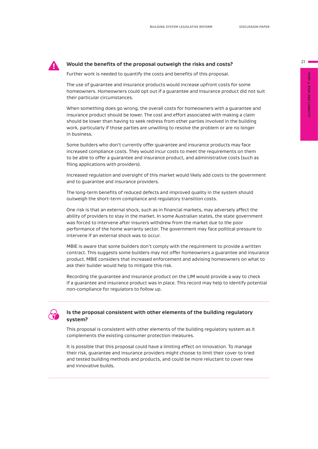#### **! Would the benefits of the proposal outweigh the risks and costs?**

Further work is needed to quantify the costs and benefits of this proposal.

The use of guarantee and insurance products would increase upfront costs for some homeowners. Homeowners could opt out if a guarantee and insurance product did not suit their particular circumstances.

When something does go wrong, the overall costs for homeowners with a guarantee and insurance product should be lower. The cost and effort associated with making a claim should be lower than having to seek redress from other parties involved in the building work, particularly if those parties are unwilling to resolve the problem or are no longer in business.

Some builders who don't currently offer guarantee and insurance products may face increased compliance costs. They would incur costs to meet the requirements on them to be able to offer a guarantee and insurance product, and administrative costs (such as filing applications with providers).

Increased regulation and oversight of this market would likely add costs to the government and to guarantee and insurance providers.

The long-term benefits of reduced defects and improved quality in the system should outweigh the short-term compliance and regulatory transition costs.

One risk is that an external shock, such as in financial markets, may adversely affect the ability of providers to stay in the market. In some Australian states, the state government was forced to intervene after insurers withdrew from the market due to the poor performance of the home warranty sector. The government may face political pressure to intervene if an external shock was to occur.

MBIE is aware that some builders don't comply with the requirement to provide a written contract. This suggests some builders may not offer homeowners a guarantee and insurance product. MBIE considers that increased enforcement and advising homeowners on what to ask their builder would help to mitigate this risk.

Recording the guarantee and insurance product on the LIM would provide a way to check if a guarantee and insurance product was in place. This record may help to identify potential non-compliance for regulators to follow up.



#### **Is the proposal consistent with other elements of the building regulatory system?**

This proposal is consistent with other elements of the building regulatory system as it complements the existing consumer protection measures.

It is possible that this proposal could have a limiting effect on innovation. To manage their risk, guarantee and insurance providers might choose to limit their cover to tried and tested building methods and products, and could be more reluctant to cover new and innovative builds.

**PART 4: RISK AND LIABILITY PART 4: RISK AND LIABILITY**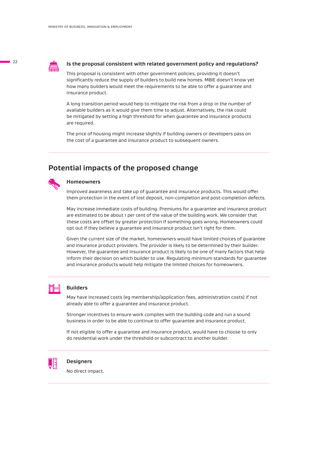

#### **Is the proposal consistent with related government policy and regulations?**

This proposal is consistent with other government policies, providing it doesn't significantly reduce the supply of builders to build new homes. MBIE doesn't know yet how many builders would meet the requirements to be able to offer a guarantee and insurance product.

A long transition period would help to mitigate the risk from a drop in the number of available builders as it would give them time to adjust. Alternatively, the risk could be mitigated by setting a high threshold for when guarantee and insurance products are required.

The price of housing might increase slightly if building owners or developers pass on the cost of a guarantee and insurance product to subsequent owners.

#### **Potential impacts of the proposed change**



#### **Homeowners**

Improved awareness and take up of guarantee and insurance products. This would offer them protection in the event of lost deposit, non-completion and post-completion defects.

May increase immediate costs of building. Premiums for a guarantee and insurance product are estimated to be about 1 per cent of the value of the building work. We consider that these costs are offset by greater protection if something goes wrong. Homeowners could opt out if they believe a guarantee and insurance product isn't right for them.

Given the current size of the market, homeowners would have limited choices of guarantee and insurance product providers. The provider is likely to be determined by their builder. However, the guarantee and insurance product is likely to be one of many factors that help inform their decision on which builder to use. Regulating minimum standards for guarantee and insurance products would help mitigate the limited choices for homeowners.

#### **Builders**

May have increased costs (eg membership/application fees, administration costs) if not already able to offer a guarantee and insurance product.

Stronger incentives to ensure work complies with the building code and run a sound business in order to be able to continue to offer guarantee and insurance product.

If not eligible to offer a guarantee and insurance product, would have to choose to only do residential work under the threshold or subcontract to another builder.



#### **Designers**

No direct impact.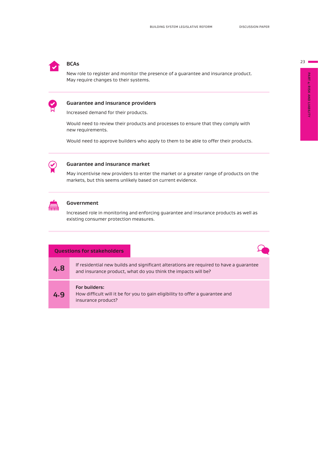## **BCAs**

New role to register and monitor the presence of a guarantee and insurance product. May require changes to their systems.



#### **Guarantee and insurance providers**

Increased demand for their products.

Would need to review their products and processes to ensure that they comply with new requirements.

Would need to approve builders who apply to them to be able to offer their products.



#### **Guarantee and insurance market**

May incentivise new providers to enter the market or a greater range of products on the markets, but this seems unlikely based on current evidence.



#### **Government**

Increased role in monitoring and enforcing guarantee and insurance products as well as existing consumer protection measures.

|     | <b>Questions for stakeholders</b>                                                                                                                       |  |
|-----|---------------------------------------------------------------------------------------------------------------------------------------------------------|--|
| 4.8 | If residential new builds and significant alterations are required to have a quarantee<br>and insurance product, what do you think the impacts will be? |  |
| 4.9 | <b>For builders:</b><br>How difficult will it be for you to gain eligibility to offer a quarantee and<br>insurance product?                             |  |

PART 4: RISK AND LIABILITY **PART 4: RISK AND LIABILITY**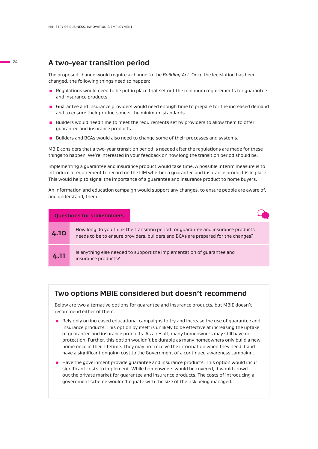#### **A two-year transition period**

The proposed change would require a change to the *Building Act*. Once the legislation has been changed, the following things need to happen:

- **EXECUTE REGULATIONS WOULD NEED TO BE PUT THE REGULAR IN PROPERTY OF SET OF SET OF SET OF SET SET SET SET SET S** and insurance products.
- $\blacksquare$  Guarantee and insurance providers would need enough time to prepare for the increased demand and to ensure their products meet the minimum standards.
- **Builders would need time to meet the requirements set by providers to allow them to offer** guarantee and insurance products.
- **E** Builders and BCAs would also need to change some of their processes and systems.

MBIE considers that a two-year transition period is needed after the regulations are made for these things to happen. We're interested in your feedback on how long the transition period should be.

Implementing a guarantee and insurance product would take time. A possible interim measure is to introduce a requirement to record on the LIM whether a guarantee and insurance product is in place. This would help to signal the importance of a guarantee and insurance product to home buyers.

An information and education campaign would support any changes, to ensure people are aware of, and understand, them.

|      | <b>Questions for stakeholders</b>                                                                                                                                    |
|------|----------------------------------------------------------------------------------------------------------------------------------------------------------------------|
| 4.10 | How long do you think the transition period for guarantee and insurance products<br>needs to be to ensure providers, builders and BCAs are prepared for the changes? |
| 4.11 | Is anything else needed to support the implementation of guarantee and<br>insurance products?                                                                        |

#### **Two options MBIE considered but doesn't recommend**

Below are two alternative options for guarantee and insurance products, but MBIE doesn't recommend either of them.

- **Rely only on increased educational campaigns to try and increase the use of guarantee and** insurance products: This option by itself is unlikely to be effective at increasing the uptake of guarantee and insurance products. As a result, many homeowners may still have no protection. Further, this option wouldn't be durable as many homeowners only build a new home once in their lifetime. They may not receive the information when they need it and have a significant ongoing cost to the Government of a continued awareness campaign.
- $\blacksquare$  Have the government provide guarantee and insurance products: This option would incur significant costs to implement. While homeowners would be covered, it would crowd out the private market for guarantee and insurance products. The costs of introducing a government scheme wouldn't equate with the size of the risk being managed.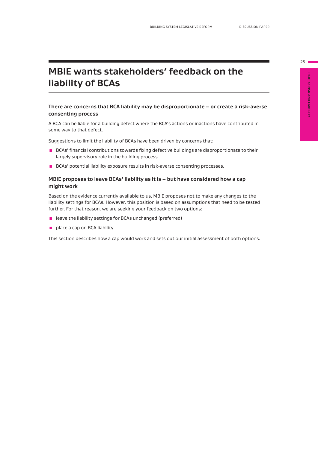# PART 4: RISK AND LIABILITY **PART 4: RISK AND LIABILITY**

# **MBIE wants stakeholders' feedback on the liability of BCAs**

#### **There are concerns that BCA liability may be disproportionate – or create a risk-averse consenting process**

A BCA can be liable for a building defect where the BCA's actions or inactions have contributed in some way to that defect.

Suggestions to limit the liability of BCAs have been driven by concerns that:

- **BCAs'** financial contributions towards fixing defective buildings are disproportionate to their largely supervisory role in the building process
- **BCAs' potential liability exposure results in risk-averse consenting processes.**

#### **MBIE proposes to leave BCAs' liability as it is – but have considered how a cap might work**

Based on the evidence currently available to us, MBIE proposes not to make any changes to the liability settings for BCAs. However, this position is based on assumptions that need to be tested further. For that reason, we are seeking your feedback on two options:

- leave the liability settings for BCAs unchanged (preferred)
- **place a cap on BCA liability.**

This section describes how a cap would work and sets out our initial assessment of both options.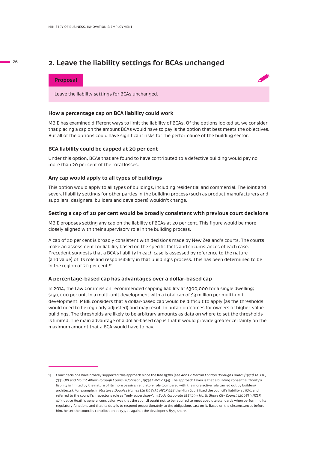#### **2. Leave the liability settings for BCAs unchanged**

#### **Proposal**

Leave the liability settings for BCAs unchanged.

#### **How a percentage cap on BCA liability could work**

MBIE has examined different ways to limit the liability of BCAs. Of the options looked at, we consider that placing a cap on the amount BCAs would have to pay is the option that best meets the objectives. But all of the options could have significant risks for the performance of the building sector.

#### **BCA liability could be capped at 20 per cent**

Under this option, BCAs that are found to have contributed to a defective building would pay no more than 20 per cent of the total losses.

#### **Any cap would apply to all types of buildings**

This option would apply to all types of buildings, including residential and commercial. The joint and several liability settings for other parties in the building process (such as product manufacturers and suppliers, designers, builders and developers) wouldn't change.

#### **Setting a cap of 20 per cent would be broadly consistent with previous court decisions**

MBIE proposes setting any cap on the liability of BCAs at 20 per cent. This figure would be more closely aligned with their supervisory role in the building process.

A cap of 20 per cent is broadly consistent with decisions made by New Zealand's courts. The courts make an assessment for liability based on the specific facts and circumstances of each case. Precedent suggests that a BCA's liability in each case is assessed by reference to the nature (and value) of its role and responsibility in that building's process. This has been determined to be in the region of 20 per cent.<sup>17</sup>

#### **A percentage-based cap has advantages over a dollar-based cap**

In 2014, the Law Commission recommended capping liability at \$300,000 for a single dwelling; \$150,000 per unit in a multi-unit development with a total cap of \$3 million per multi-unit development. MBIE considers that a dollar-based cap would be difficult to apply (as the thresholds would need to be regularly adjusted) and may result in unfair outcomes for owners of higher-value buildings. The thresholds are likely to be arbitrary amounts as data on where to set the thresholds is limited. The main advantage of a dollar-based cap is that it would provide greater certainty on the maximum amount that a BCA would have to pay.

<sup>17</sup> Court decisions have broadly supported this approach since the late 1970s (see *Anns v Merton London Borough Council [1978] AC 728, 755 (UK) and Mount Albert Borough Council v Johnson [1979] 2 NZLR 234*). The approach taken is that a building consent authority's liability is limited by the nature of its more passive, regulatory role (compared with the more active role carried out by builders/ architects). For example, in *Morton v Douglas Homes Ltd [1984] 2 NZLR 548* the High Court fixed the council's liability at 15%, and referred to the council's inspector's role as ''only supervisory'. In *Body Corporate 188529 v North Shore City Council [2008] 3 NZLR 479* Justice Heath's general conclusion was that the council ought not to be required to meet absolute standards when performing its regulatory functions and that its duty is to respond proportionately to the obligations cast on it. Based on the circumstances before him, he set the council's contribution at 15% as against the developer's 85% share.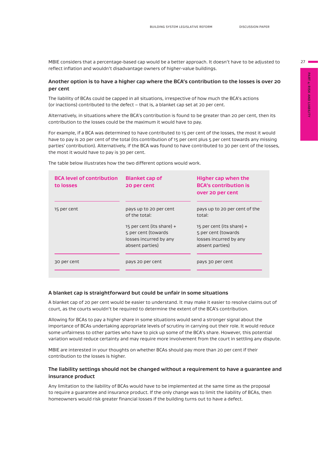MBIE considers that a percentage-based cap would be a better approach. It doesn't have to be adjusted to reflect inflation and wouldn't disadvantage owners of higher-value buildings.

#### **Another option is to have a higher cap where the BCA's contribution to the losses is over 20 per cent**

The liability of BCAs could be capped in all situations, irrespective of how much the BCA's actions (or inactions) contributed to the defect – that is, a blanket cap set at 20 per cent.

Alternatively, in situations where the BCA's contribution is found to be greater than 20 per cent, then its contribution to the losses could be the maximum it would have to pay.

For example, if a BCA was determined to have contributed to 15 per cent of the losses, the most it would have to pay is 20 per cent of the total (its contribution of 15 per cent plus 5 per cent towards any missing parties' contribution). Alternatively, if the BCA was found to have contributed to 30 per cent of the losses, the most it would have to pay is 30 per cent.

| <b>BCA level of contribution</b><br>to losses | <b>Blanket cap of</b><br>20 per cent                                                            | Higher cap when the<br><b>BCA's contribution is</b><br>over 20 per cent                       |
|-----------------------------------------------|-------------------------------------------------------------------------------------------------|-----------------------------------------------------------------------------------------------|
| 15 per cent                                   | pays up to 20 per cent<br>of the total:                                                         | pays up to 20 per cent of the<br>total:                                                       |
|                                               | 15 per cent (its share) $+$<br>5 per cent (towards<br>losses incurred by any<br>absent parties) | 15 per cent (its share) +<br>5 per cent (towards<br>losses incurred by any<br>absent parties) |
| 30 per cent                                   | pays 20 per cent                                                                                | pays 30 per cent                                                                              |

The table below illustrates how the two different options would work.

#### **A blanket cap is straightforward but could be unfair in some situations**

A blanket cap of 20 per cent would be easier to understand. It may make it easier to resolve claims out of court, as the courts wouldn't be required to determine the extent of the BCA's contribution.

Allowing for BCAs to pay a higher share in some situations would send a stronger signal about the importance of BCAs undertaking appropriate levels of scrutiny in carrying out their role. It would reduce some unfairness to other parties who have to pick up some of the BCA's share. However, this potential variation would reduce certainty and may require more involvement from the court in settling any dispute.

MBIE are interested in your thoughts on whether BCAs should pay more than 20 per cent if their contribution to the losses is higher.

#### **The liability settings should not be changed without a requirement to have a guarantee and insurance product**

Any limitation to the liability of BCAs would have to be implemented at the same time as the proposal to require a guarantee and insurance product. If the only change was to limit the liability of BCAs, then homeowners would risk greater financial losses if the building turns out to have a defect.

 $27 -$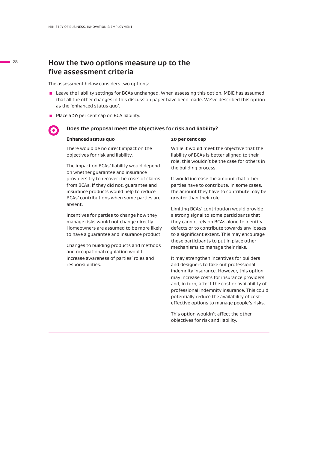#### **How the two options measure up to the five assessment criteria**

The assessment below considers two options:

- Leave the liability settings for BCAs unchanged. When assessing this option, MBIE has assumed that all the other changes in this discussion paper have been made. We've described this option as the 'enhanced status quo'.
- Place a 20 per cent cap on BCA liability.

#### **Does the proposal meet the objectives for risk and liability?**

#### **Enhanced status quo**

There would be no direct impact on the objectives for risk and liability.

The impact on BCAs' liability would depend on whether guarantee and insurance providers try to recover the costs of claims from BCAs. If they did not, guarantee and insurance products would help to reduce BCAs' contributions when some parties are absent.

Incentives for parties to change how they manage risks would not change directly. Homeowners are assumed to be more likely to have a guarantee and insurance product.

Changes to building products and methods and occupational regulation would increase awareness of parties' roles and responsibilities.

#### **20 per cent cap**

While it would meet the objective that the liability of BCAs is better aligned to their role, this wouldn't be the case for others in the building process.

It would increase the amount that other parties have to contribute. In some cases, the amount they have to contribute may be greater than their role.

Limiting BCAs' contribution would provide a strong signal to some participants that they cannot rely on BCAs alone to identify defects or to contribute towards any losses to a significant extent. This may encourage these participants to put in place other mechanisms to manage their risks.

It may strengthen incentives for builders and designers to take out professional indemnity insurance. However, this option may increase costs for insurance providers and, in turn, affect the cost or availability of professional indemnity insurance. This could potentially reduce the availability of costeffective options to manage people's risks.

This option wouldn't affect the other objectives for risk and liability.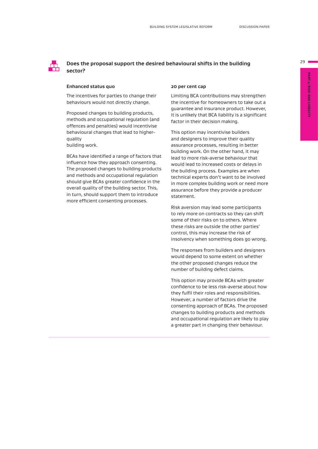$29$ 

#### **Does the proposal support the desired behavioural shifts in the building sector?**

#### **Enhanced status quo**

The incentives for parties to change their behaviours would not directly change.

Proposed changes to building products, methods and occupational regulation (and offences and penalties) would incentivise behavioural changes that lead to higherquality

building work.

BCAs have identified a range of factors that influence how they approach consenting. The proposed changes to building products and methods and occupational regulation should give BCAs greater confidence in the overall quality of the building sector. This, in turn, should support them to introduce more efficient consenting processes.

#### **20 per cent cap**

Limiting BCA contributions may strengthen the incentive for homeowners to take out a guarantee and insurance product. However, it is unlikely that BCA liability is a significant factor in their decision making.

This option may incentivise builders and designers to improve their quality assurance processes, resulting in better building work. On the other hand, it may lead to more risk-averse behaviour that would lead to increased costs or delays in the building process. Examples are when technical experts don't want to be involved in more complex building work or need more assurance before they provide a producer statement.

Risk aversion may lead some participants to rely more on contracts so they can shift some of their risks on to others. Where these risks are outside the other parties' control, this may increase the risk of insolvency when something does go wrong.

The responses from builders and designers would depend to some extent on whether the other proposed changes reduce the number of building defect claims.

This option may provide BCAs with greater confidence to be less risk-averse about how they fulfil their roles and responsibilities. However, a number of factors drive the consenting approach of BCAs. The proposed changes to building products and methods and occupational regulation are likely to play a greater part in changing their behaviour.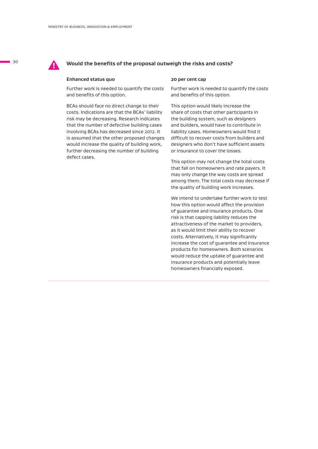

#### **! Would the benefits of the proposal outweigh the risks and costs?**

#### **Enhanced status quo**

Further work is needed to quantify the costs and benefits of this option.

BCAs should face no direct change to their costs. Indications are that the BCAs' liability risk may be decreasing. Research indicates that the number of defective building cases involving BCAs has decreased since 2012. It is assumed that the other proposed changes would increase the quality of building work, further decreasing the number of building defect cases.

#### **20 per cent cap**

Further work is needed to quantify the costs and benefits of this option.

This option would likely increase the share of costs that other participants in the building system, such as designers and builders, would have to contribute in liability cases. Homeowners would find it difficult to recover costs from builders and designers who don't have sufficient assets or insurance to cover the losses.

This option may not change the total costs that fall on homeowners and rate payers. It may only change the way costs are spread among them. The total costs may decrease if the quality of building work increases.

We intend to undertake further work to test how this option would affect the provision of guarantee and insurance products. One risk is that capping liability reduces the attractiveness of the market to providers, as it would limit their ability to recover costs. Alternatively, it may significantly increase the cost of guarantee and insurance products for homeowners. Both scenarios would reduce the uptake of guarantee and insurance products and potentially leave homeowners financially exposed.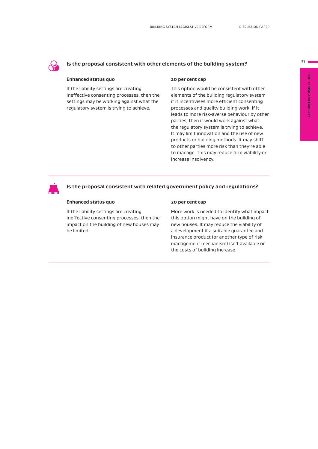#### **Is the proposal consistent with other elements of the building system?**

#### **Enhanced status quo**

If the liability settings are creating ineffective consenting processes, then the settings may be working against what the regulatory system is trying to achieve.

#### **20 per cent cap**

This option would be consistent with other elements of the building regulatory system if it incentivises more efficient consenting processes and quality building work. If it leads to more risk-averse behaviour by other parties, then it would work against what the regulatory system is trying to achieve. It may limit innovation and the use of new products or building methods. It may shift to other parties more risk than they're able to manage. This may reduce firm viability or increase insolvency.



#### **Is the proposal consistent with related government policy and regulations?**

#### **Enhanced status quo**

If the liability settings are creating ineffective consenting processes, then the impact on the building of new houses may be limited.

#### **20 per cent cap**

More work is needed to identify what impact this option might have on the building of new houses. It may reduce the viability of a development if a suitable guarantee and insurance product (or another type of risk management mechanism) isn't available or the costs of building increase.

 $31$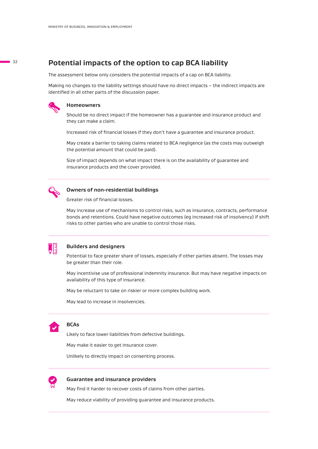#### **Potential impacts of the option to cap BCA liability**

The assessment below only considers the potential impacts of a cap on BCA liability.

Making no changes to the liability settings should have no direct impacts – the indirect impacts are identified in all other parts of the discussion paper.



#### **Homeowners**

Should be no direct impact if the homeowner has a guarantee and insurance product and they can make a claim.

Increased risk of financial losses if they don't have a guarantee and insurance product.

May create a barrier to taking claims related to BCA negligence (as the costs may outweigh the potential amount that could be paid).

Size of impact depends on what impact there is on the availability of guarantee and insurance products and the cover provided.



#### **Owners of non-residential buildings**

Greater risk of financial losses.

May increase use of mechanisms to control risks, such as insurance, contracts, performance bonds and retentions. Could have negative outcomes (eg increased risk of insolvency) if shift risks to other parties who are unable to control those risks.



#### **Builders and designers**

Potential to face greater share of losses, especially if other parties absent. The losses may be greater than their role.

May incentivise use of professional indemnity insurance. But may have negative impacts on availability of this type of insurance.

May be reluctant to take on riskier or more complex building work.

May lead to increase in insolvencies.



#### **BCAs**

Likely to face lower liabilities from defective buildings.

May make it easier to get insurance cover.

Unlikely to directly impact on consenting process.



#### **Guarantee and insurance providers**

May find it harder to recover costs of claims from other parties.

May reduce viability of providing guarantee and insurance products.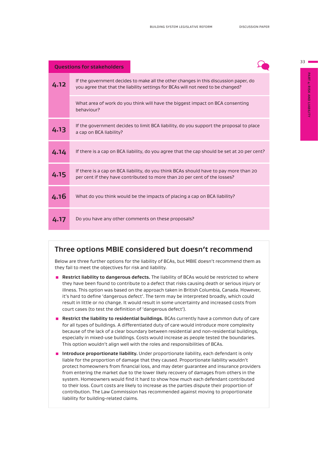| <b>Questions for stakeholders</b> |                                                                                                                                                                          |
|-----------------------------------|--------------------------------------------------------------------------------------------------------------------------------------------------------------------------|
| 4.12                              | If the government decides to make all the other changes in this discussion paper, do<br>you agree that that the liability settings for BCAs will not need to be changed? |
|                                   | What area of work do you think will have the biggest impact on BCA consenting<br>hehaviour?                                                                              |
| 4.13                              | If the government decides to limit BCA liability, do you support the proposal to place<br>a cap on BCA liability?                                                        |
| 4.14                              | If there is a cap on BCA liability, do you agree that the cap should be set at 20 per cent?                                                                              |
| 4.15                              | If there is a cap on BCA liability, do you think BCAs should have to pay more than 20<br>per cent if they have contributed to more than 20 per cent of the losses?       |
| 4.16                              | What do you think would be the impacts of placing a cap on BCA liability?                                                                                                |
| 4.17                              | Do you have any other comments on these proposals?                                                                                                                       |

#### **Three options MBIE considered but doesn't recommend**

Below are three further options for the liability of BCAs, but MBIE doesn't recommend them as they fail to meet the objectives for risk and liability.

- **EXECTED Restrict liability to dangerous defects.** The liability of BCAs would be restricted to where they have been found to contribute to a defect that risks causing death or serious injury or illness. This option was based on the approach taken in British Columbia, Canada. However, it's hard to define 'dangerous defect'. The term may be interpreted broadly, which could result in little or no change. It would result in some uncertainty and increased costs from court cases (to test the definition of 'dangerous defect').
- **E** Restrict the liability to residential buildings. BCAs currently have a common duty of care for all types of buildings. A differentiated duty of care would introduce more complexity because of the lack of a clear boundary between residential and non-residential buildings, especially in mixed-use buildings. Costs would increase as people tested the boundaries. This option wouldn't align well with the roles and responsibilities of BCAs.
- **E** Introduce proportionate liability. Under proportionate liability, each defendant is only liable for the proportion of damage that they caused. Proportionate liability wouldn't protect homeowners from financial loss, and may deter guarantee and insurance providers from entering the market due to the lower likely recovery of damages from others in the system. Homeowners would find it hard to show how much each defendant contributed to their loss. Court costs are likely to increase as the parties dispute their proportion of contribution. The Law Commission has recommended against moving to proportionate liability for building-related claims.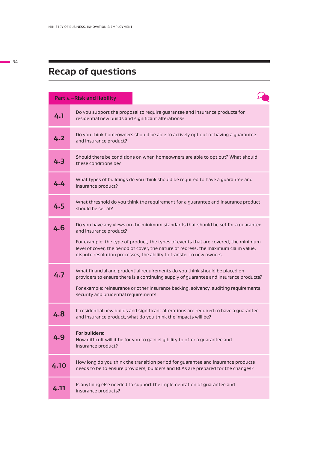# **Recap of questions**

|      | Part 4-Risk and liability                                                                                                                                                                                                                                                                                                                                          |
|------|--------------------------------------------------------------------------------------------------------------------------------------------------------------------------------------------------------------------------------------------------------------------------------------------------------------------------------------------------------------------|
| 4.1  | Do you support the proposal to require guarantee and insurance products for<br>residential new builds and significant alterations?                                                                                                                                                                                                                                 |
| 4.2  | Do you think homeowners should be able to actively opt out of having a guarantee<br>and insurance product?                                                                                                                                                                                                                                                         |
| 4.3  | Should there be conditions on when homeowners are able to opt out? What should<br>these conditions be?                                                                                                                                                                                                                                                             |
| 4.4  | What types of buildings do you think should be required to have a guarantee and<br>insurance product?                                                                                                                                                                                                                                                              |
| 4.5  | What threshold do you think the requirement for a guarantee and insurance product<br>should be set at?                                                                                                                                                                                                                                                             |
| 4.6  | Do you have any views on the minimum standards that should be set for a guarantee<br>and insurance product?<br>For example: the type of product, the types of events that are covered, the minimum<br>level of cover, the period of cover, the nature of redress, the maximum claim value,<br>dispute resolution processes, the ability to transfer to new owners. |
| 4.7  | What financial and prudential requirements do you think should be placed on<br>providers to ensure there is a continuing supply of guarantee and insurance products?<br>For example: reinsurance or other insurance backing, solvency, auditing requirements,<br>security and prudential requirements.                                                             |
| 4.8  | If residential new builds and significant alterations are required to have a guarantee<br>and insurance product, what do you think the impacts will be?                                                                                                                                                                                                            |
| 4.9  | For builders:<br>How difficult will it be for you to gain eligibility to offer a guarantee and<br>insurance product?                                                                                                                                                                                                                                               |
| 4.10 | How long do you think the transition period for guarantee and insurance products<br>needs to be to ensure providers, builders and BCAs are prepared for the changes?                                                                                                                                                                                               |
| 4.11 | Is anything else needed to support the implementation of guarantee and<br>insurance products?                                                                                                                                                                                                                                                                      |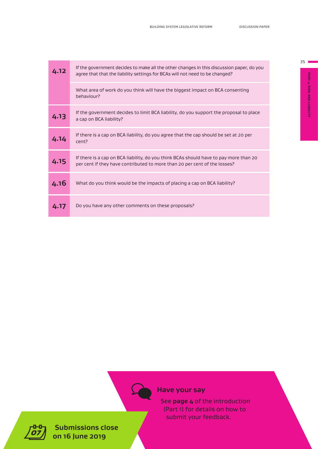| 4.12 | If the government decides to make all the other changes in this discussion paper, do you<br>agree that that the liability settings for BCAs will not need to be changed? |
|------|--------------------------------------------------------------------------------------------------------------------------------------------------------------------------|
|      | What area of work do you think will have the biggest impact on BCA consenting<br>behaviour?                                                                              |
| 4.13 | If the government decides to limit BCA liability, do you support the proposal to place<br>a cap on BCA liability?                                                        |
| 4.14 | If there is a cap on BCA liability, do you agree that the cap should be set at 20 per<br>cent?                                                                           |
| 4.15 | If there is a cap on BCA liability, do you think BCAs should have to pay more than 20<br>per cent if they have contributed to more than 20 per cent of the losses?       |
| 4.16 | What do you think would be the impacts of placing a cap on BCA liability?                                                                                                |
| 4.17 | Do you have any other comments on these proposals?                                                                                                                       |



PART 4: RISK AND LIABILITY **PART 4: RISK AND LIABILITY**

# **Have your say**

See **page 4** of the introduction (Part 1) for details on how to submit your feedback.



**Submissions close on 16 June 2019**